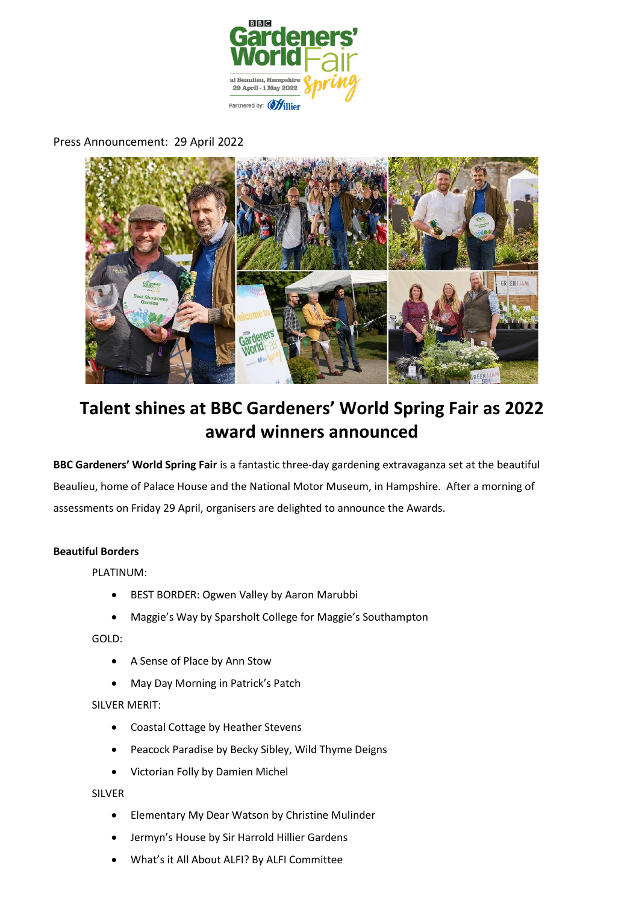

Press Announcement: 29 April 2022



# **Talent shines at BBC Gardeners' World Spring Fair as 2022 award winners announced**

**BBC Gardeners' World Spring Fair** is a fantastic three-day gardening extravaganza set at the beautiful Beaulieu, home of Palace House and the National Motor Museum, in Hampshire. After a morning of assessments on Friday 29 April, organisers are delighted to announce the Awards.

## **Beautiful Borders**

PLATINUM:

- BEST BORDER: Ogwen Valley by Aaron Marubbi
- Maggie's Way by Sparsholt College for Maggie's Southampton

GOLD:

- A Sense of Place by Ann Stow
- May Day Morning in Patrick's Patch

SILVER MERIT:

- Coastal Cottage by Heather Stevens
- Peacock Paradise by Becky Sibley, Wild Thyme Deigns
- Victorian Folly by Damien Michel

SILVER

- Elementary My Dear Watson by Christine Mulinder
- Jermyn's House by Sir Harrold Hillier Gardens
- What's it All About ALFI? By ALFI Committee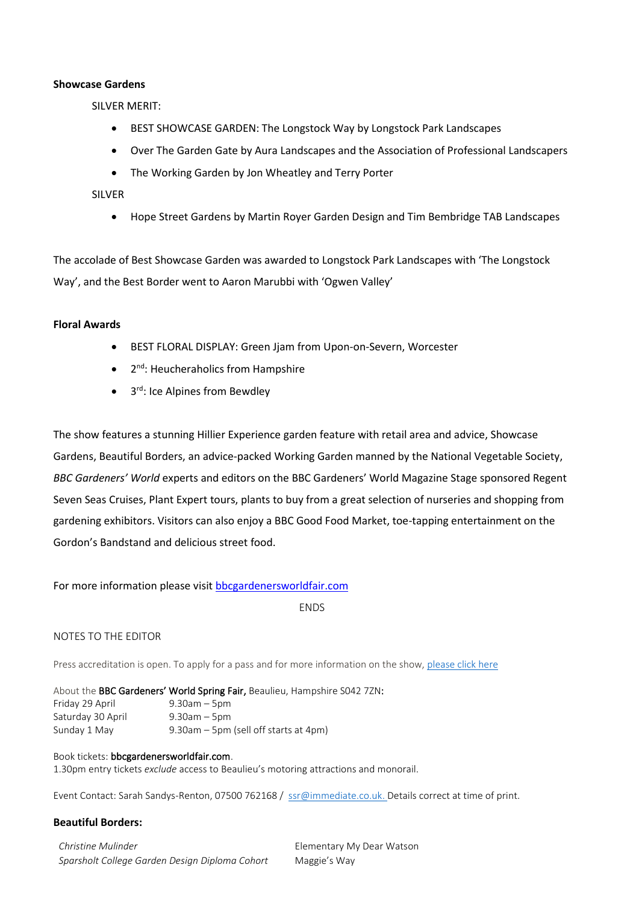#### **Showcase Gardens**

SILVER MERIT:

- BEST SHOWCASE GARDEN: The Longstock Way by Longstock Park Landscapes
- Over The Garden Gate by Aura Landscapes and the Association of Professional Landscapers
- The Working Garden by Jon Wheatley and Terry Porter

SILVER

• Hope Street Gardens by Martin Royer Garden Design and Tim Bembridge TAB Landscapes

The accolade of Best Showcase Garden was awarded to Longstock Park Landscapes with 'The Longstock Way', and the Best Border went to Aaron Marubbi with 'Ogwen Valley'

#### **Floral Awards**

- BEST FLORAL DISPLAY: Green Jjam from Upon-on-Severn, Worcester
- 2<sup>nd</sup>: Heucheraholics from Hampshire
- 3<sup>rd</sup>: Ice Alpines from Bewdley

The show features a stunning Hillier Experience garden feature with retail area and advice, Showcase Gardens, Beautiful Borders, an advice-packed Working Garden manned by the National Vegetable Society, *BBC Gardeners' World* experts and editors on the BBC Gardeners' World Magazine Stage sponsored Regent Seven Seas Cruises, Plant Expert tours, plants to buy from a great selection of nurseries and shopping from gardening exhibitors. Visitors can also enjoy a BBC Good Food Market, toe-tapping entertainment on the Gordon's Bandstand and delicious street food.

## For more information please visi[t bbcgardenersworldfair.com](http://www.bbcgardenersworldfair.com/)

ENDS

## NOTES TO THE EDITOR

Press accreditation is open. To apply for a pass and for more information on the show, [please click here](https://www.bbcgardenersworldlive.com/spring-fair/spring-fair-press/)

About the BBC Gardeners' World Spring Fair, Beaulieu, Hampshire S042 7ZN: Friday 29 April 9.30am – 5pm Saturday 30 April 9.30am – 5pm Sunday 1 May 9.30am – 5pm (sell off starts at 4pm)

#### Book tickets: bbcgardenersworldfair.com.

1.30pm entry tickets *exclude* access to Beaulieu's motoring attractions and monorail.

Event Contact: Sarah Sandys-Renton, 07500 762168 / [ssr@immediate.co.uk.](mailto:ssr@immediate.co.uk) Details correct at time of print.

## **Beautiful Borders:**

| Christine Mulinder                             | Elementary My Dear Watson |
|------------------------------------------------|---------------------------|
| Sparsholt College Garden Design Diploma Cohort | Maggie's Way              |